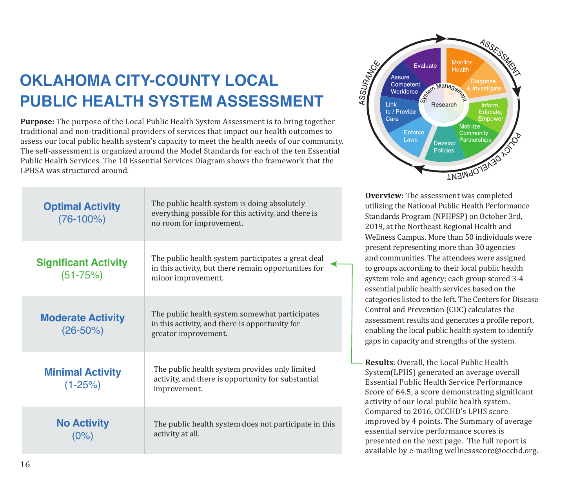## **OKLAHOMA CITY-COUNTY LOCAL PUBLIC HEALTH SYSTEM ASSESSMENT**

**Purpose:** The purpose of the Local Public Health System Assessment is to bring together traditional and non-traditional providers of services that impact our health outcomes to assess our local public health system's capacity to meet the health needs of our community. The self-assessment is organized around the Model Standards for each of the ten Essential Public Health Services. The 10 Essential Services Diagram shows the framework that the LPHSA was structured around.

| <b>Optimal Activity</b><br>$(76-100%)$      | The public health system is doing absolutely<br>everything possible for this activity, and there is<br>no room for improvement.  |
|---------------------------------------------|----------------------------------------------------------------------------------------------------------------------------------|
| <b>Significant Activity</b><br>$(51 - 75%)$ | The public health system participates a great deal<br>in this activity, but there remain opportunities for<br>minor improvement. |
| <b>Moderate Activity</b><br>$(26 - 50\%)$   | The public health system somewhat participates<br>in this activity, and there is opportunity for<br>greater improvement.         |
| <b>Minimal Activity</b><br>$(1 - 25%)$      | The public health system provides only limited<br>activity, and there is opportunity for substantial<br>improvement.             |
| <b>No Activity</b><br>(0%)                  | The public health system does not participate in this<br>activity at all.                                                        |



**Overview:** The assessment was completed utilizing the National Public Health Performance Standards Program (NPHPSP) on October 3rd, 2019, at the Northeast Regional Health and Wellness Campus. More than 50 individuals were present representing more than 30 agencies and communities. The attendees were assigned to groups according to their local public health system role and agency; each group scored 3-4 essential public health services based on the categories listed to the left. The Centers for Disease Control and Prevention (CDC) calculates the assessment results and generates a profile report, enabling the local public health system to identify gaps in capacity and strengths of the system.

**Results**: Overall, the Local Public Health System(LPHS) generated an average overall Essential Public Health Service Performance Score of 64.5, a score demonstrating significant activity of our local public health system. Compared to 2016, OCCHD's LPHS score improved by 4 points. The Summary of average essential service performance scores is presented on the next page. The full report is available by e-mailing wellnessscore@occhd.org.